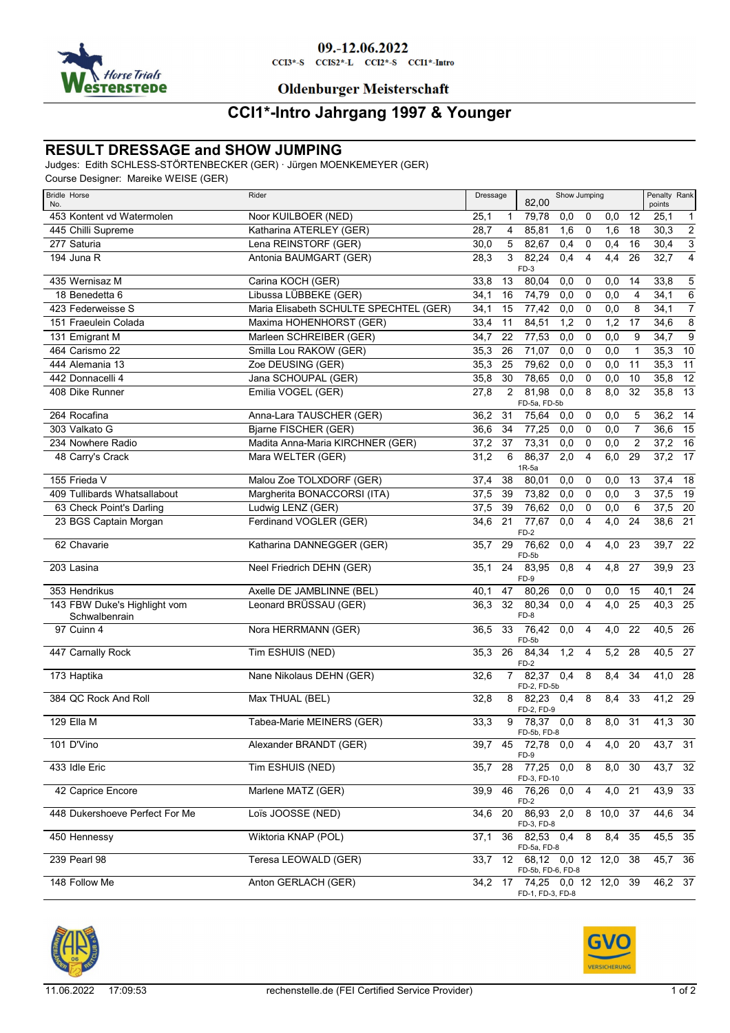

# 09.-12.06.2022

 $CCI3*-S$   $CCI52*-L$   $CCI2*-S$   $CCI1*-Intro$ 

**Oldenburger Meisterschaft** 

### **CCI1\*-Intro Jahrgang 1997 & Younger**

### **RESULT DRESSAGE and SHOW JUMPING**

Judges: Edith SCHLESS-STÖRTENBECKER (GER) · Jürgen MOENKEMEYER (GER)

Course Designer: Mareike WEISE (GER)

| <b>Bridle Horse</b><br>No.                    | Rider                                  |      | Dressage       |                                             | Show Jumping |                |                  |                | Penalty Rank<br>points |                 |
|-----------------------------------------------|----------------------------------------|------|----------------|---------------------------------------------|--------------|----------------|------------------|----------------|------------------------|-----------------|
| 453 Kontent vd Watermolen                     | Noor KUILBOER (NED)                    | 25,1 | 1              | 79,78                                       | 0,0          | 0              | 0,0              | 12             | 25,1                   | $\mathbf{1}$    |
| 445 Chilli Supreme                            | Katharina ATERLEY (GER)                | 28,7 | 4              | 85,81                                       | 1,6          | 0              | 1,6              | 18             | 30,3                   | $\overline{2}$  |
| 277 Saturia                                   | Lena REINSTORF (GER)                   | 30,0 | 5              | 82,67                                       | 0,4          | 0              | 0,4              | 16             | 30,4                   | $\overline{3}$  |
| 194 Juna R                                    | Antonia BAUMGART (GER)                 | 28,3 | 3              | 82,24<br>$FD-3$                             | 0,4          | $\overline{4}$ | 4,4              | 26             | 32,7                   | $\overline{4}$  |
| 435 Wernisaz M                                | Carina KOCH (GER)                      | 33,8 | 13             | 80.04                                       | 0,0          | 0              | 0,0              | 14             | 33,8                   | 5               |
| 18 Benedetta 6                                | Libussa LÜBBEKE (GER)                  | 34,1 | 16             | 74,79                                       | 0,0          | 0              | 0,0              | $\overline{4}$ | 34,1                   | $\overline{6}$  |
| 423 Federweisse S                             | Maria Elisabeth SCHULTE SPECHTEL (GER) | 34,1 | 15             | 77,42                                       | 0,0          | 0              | 0,0              | 8              | 34,1                   | $\overline{7}$  |
| 151 Fraeulein Colada                          | Maxima HOHENHORST (GER)                | 33,4 | 11             | 84,51                                       | 1,2          | 0              | 1,2              | 17             | 34,6                   | $\overline{8}$  |
| 131 Emigrant M                                | Marleen SCHREIBER (GER)                | 34,7 | 22             | 77,53                                       | 0,0          | $\mathbf 0$    | 0,0              | 9              | 34,7                   | $\overline{9}$  |
| 464 Carismo 22                                | Smilla Lou RAKOW (GER)                 | 35,3 | 26             | 71,07                                       | 0,0          | 0              | $\overline{0,0}$ | $\mathbf{1}$   | 35,3                   | 10              |
| 444 Alemania 13                               | Zoe DEUSING (GER)                      | 35,3 | 25             | 79,62                                       | 0,0          | $\mathbf 0$    | 0,0              | 11             | 35,3                   | $\overline{11}$ |
| 442 Donnacelli 4                              | Jana SCHOUPAL (GER)                    | 35,8 | 30             | 78,65                                       | 0,0          | $\mathbf 0$    | 0,0              | 10             | 35,8                   | $\overline{12}$ |
| 408 Dike Runner                               | Emilia VOGEL (GER)                     | 27,8 | $\overline{2}$ | 81,98<br>FD-5a, FD-5b                       | 0,0          | 8              | 8,0              | 32             | 35,8                   | 13              |
| 264 Rocafina                                  | Anna-Lara TAUSCHER (GER)               | 36,2 | 31             | 75,64                                       | 0,0          | 0              | 0,0              | 5              | 36,2                   | 14              |
| 303 Valkato G                                 | Bjarne FISCHER (GER)                   | 36,6 | 34             | 77,25                                       | 0,0          | 0              | 0,0              | 7              | 36,6                   | $\overline{15}$ |
| 234 Nowhere Radio                             | Madita Anna-Maria KIRCHNER (GER)       | 37,2 | 37             | 73,31                                       | 0,0          | 0              | 0,0              | $\overline{2}$ | 37,2                   | 16              |
| 48 Carry's Crack                              | Mara WELTER (GER)                      | 31,2 | 6              | 86,37<br>$1R-5a$                            | 2,0          | $\overline{4}$ | 6,0              | 29             | 37,2                   | $\overline{17}$ |
| 155 Frieda V                                  | Malou Zoe TOLXDORF (GER)               | 37,4 | 38             | 80,01                                       | 0,0          | 0              | 0,0              | 13             | 37,4                   | 18              |
| 409 Tullibards Whatsallabout                  | Margherita BONACCORSI (ITA)            | 37,5 | 39             | 73,82                                       | 0,0          | $\mathbf 0$    | 0,0              | 3              | 37,5                   | 19              |
| 63 Check Point's Darling                      | Ludwig LENZ (GER)                      | 37,5 | 39             | 76,62                                       | 0,0          | $\mathbf 0$    | 0,0              | 6              | $37,5$ 20              |                 |
| 23 BGS Captain Morgan                         | Ferdinand VOGLER (GER)                 | 34,6 | 21             | 77,67<br>$FD-2$                             | 0,0          | 4              | $\overline{4,0}$ | 24             | 38,6                   | $\overline{21}$ |
| 62 Chavarie                                   | Katharina DANNEGGER (GER)              | 35,7 | 29             | 76,62<br>FD-5b                              | 0,0          | 4              | 4,0              | 23             | 39,7                   | $\overline{22}$ |
| 203 Lasina                                    | Neel Friedrich DEHN (GER)              | 35,1 | 24             | 83,95<br>FD-9                               | 0,8          | 4              | 4,8              | 27             | 39,9                   | 23              |
| 353 Hendrikus                                 | Axelle DE JAMBLINNE (BEL)              | 40,1 | 47             | 80,26                                       | 0,0          | 0              | 0,0              | 15             | 40,1                   | 24              |
| 143 FBW Duke's Highlight vom<br>Schwalbenrain | Leonard BRÜSSAU (GER)                  | 36,3 | 32             | 80,34<br>FD-8                               | 0,0          | 4              | 4,0              | 25             | 40,3                   | $\overline{25}$ |
| 97 Cuinn 4                                    | Nora HERRMANN (GER)                    | 36,5 | 33             | 76,42<br>FD-5b                              | 0,0          | 4              | 4,0              | 22             | 40,5 26                |                 |
| 447 Carnally Rock                             | Tim ESHUIS (NED)                       | 35,3 | 26             | 84,34<br>$FD-2$                             | 1,2          | $\overline{4}$ | $\overline{5,2}$ | 28             | $40,5$ 27              |                 |
| 173 Haptika                                   | Nane Nikolaus DEHN (GER)               | 32,6 | $\overline{7}$ | 82,37 0,4<br>FD-2, FD-5b                    |              | 8              | 8,4              | 34             | 41,0 28                |                 |
| 384 QC Rock And Roll                          | Max THUAL (BEL)                        | 32,8 | 8              | 82,23<br>FD-2, FD-9                         | 0,4          | 8              | 8,4              | 33             | 41,2                   | - 29            |
| 129 Ella M                                    | Tabea-Marie MEINERS (GER)              | 33,3 | 9              | 78,37 0,0<br>FD-5b, FD-8                    |              | 8              | 8,0              | 31             | 41,3                   | 30              |
| 101 D'Vino                                    | Alexander BRANDT (GER)                 | 39,7 | 45             | 72,78 0,0 4<br>FD-9                         |              |                | $4,0$ 20         |                | $43,7$ 31              |                 |
| 433 Idle Eric                                 | Tim ESHUIS (NED)                       | 35,7 | 28             | 77,25 0,0<br>FD-3, FD-10                    |              | 8              | 8,0 30           |                | 43,7 32                |                 |
| 42 Caprice Encore                             | Marlene MATZ (GER)                     | 39,9 | 46             | 76,26 0,0<br>FD-2                           |              | 4              | 4,0 21           |                | $43,9$ 33              |                 |
| 448 Dukershoeve Perfect For Me                | Loïs JOOSSE (NED)                      | 34,6 |                | 20 86,93 2,0<br>FD-3, FD-8                  |              |                | 8 10,0 37        |                | 44,6 34                |                 |
| 450 Hennessy                                  | Wiktoria KNAP (POL)                    | 37,1 | 36             | 82,53 0,4<br>FD-5a, FD-8                    |              | 8              | 8,4              | 35             | $45,5$ 35              |                 |
| 239 Pearl 98                                  | Teresa LEOWALD (GER)                   | 33,7 |                | 12 68,12 0,0 12 12,0<br>FD-5b, FD-6, FD-8   |              |                |                  | 38             | $45,7$ 36              |                 |
| 148 Follow Me                                 | Anton GERLACH (GER)                    | 34,2 |                | 17 74,25 0,0 12 12,0 39<br>FD-1, FD-3, FD-8 |              |                |                  |                | 46,2 37                |                 |